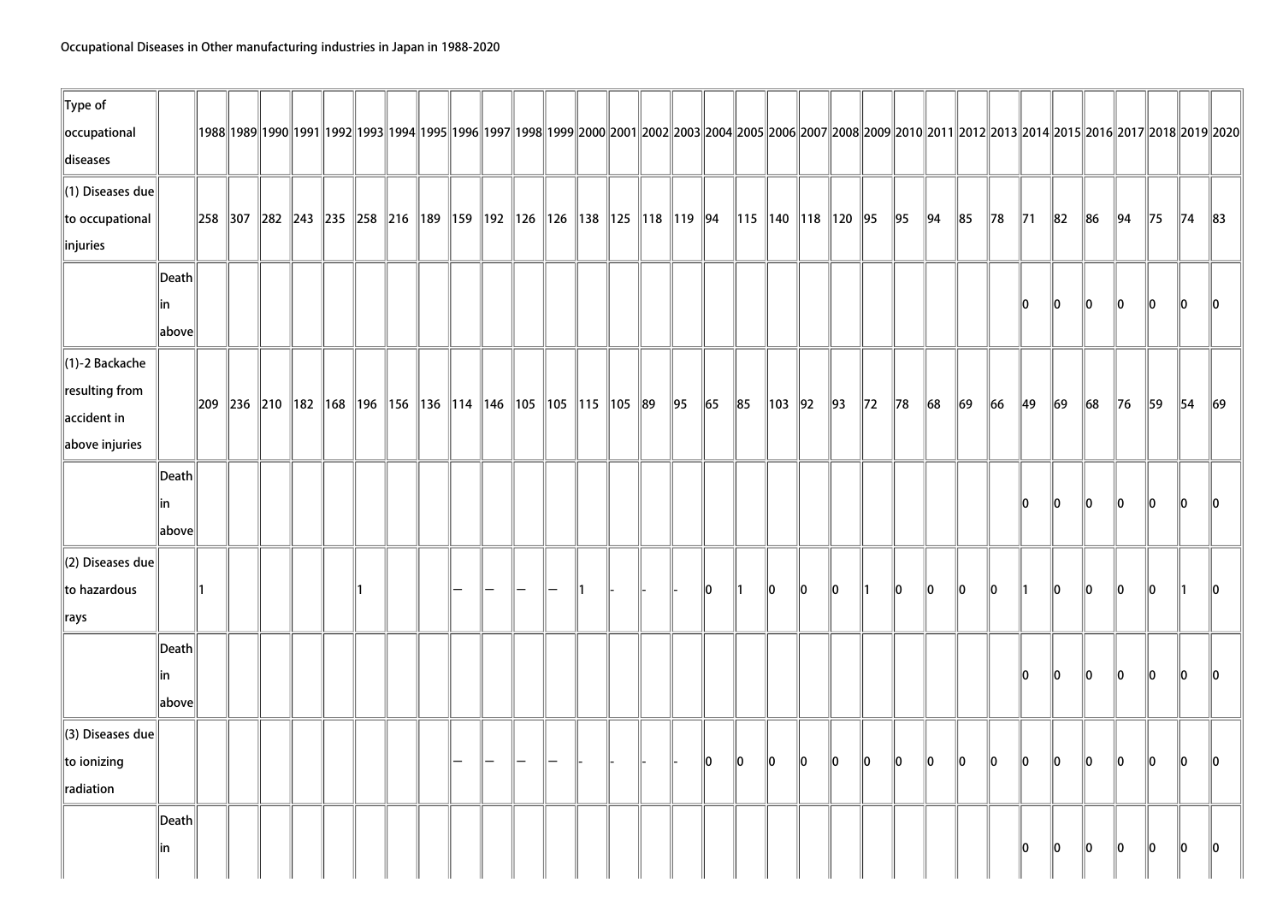| $\ $ Type of            |                       |  |  |  |                                                                                                    |  |  |  |  |            |            |                            |          |               |                |                |                |            |            |         |                |          |        |                |                |                                                                                                                                                                                          |          |
|-------------------------|-----------------------|--|--|--|----------------------------------------------------------------------------------------------------|--|--|--|--|------------|------------|----------------------------|----------|---------------|----------------|----------------|----------------|------------|------------|---------|----------------|----------|--------|----------------|----------------|------------------------------------------------------------------------------------------------------------------------------------------------------------------------------------------|----------|
| occupational            |                       |  |  |  |                                                                                                    |  |  |  |  |            |            |                            |          |               |                |                |                |            |            |         |                |          |        |                |                | 1992  1992  1992  1993  1993  1994  1995  1996  1997  1998  1999  2000  2001  2002  2003  2004  2005  2006  2007  2008  2009  2010  2011  2012  2013  2014  2015  2016  2017  2018  2019 |          |
| diseases                |                       |  |  |  |                                                                                                    |  |  |  |  |            |            |                            |          |               |                |                |                |            |            |         |                |          |        |                |                |                                                                                                                                                                                          |          |
| (1) Diseases due        |                       |  |  |  |                                                                                                    |  |  |  |  |            |            |                            |          |               |                |                |                |            |            |         |                |          |        |                |                |                                                                                                                                                                                          |          |
| to occupational         |                       |  |  |  | 258   307   282   243   235   258   216   189   159   192   126   126   138   125   118   119   94 |  |  |  |  |            |            | 115   140   118   120   95 |          |               |                |                | 95             | $\vert$ 94 | $\ 85$     | $\ $ 78 | $\parallel$ 71 | $\ 82\ $ | $\ 86$ | $\parallel$ 94 | $\parallel$ 75 | $\parallel$ 74                                                                                                                                                                           | $\ 83\ $ |
| injuries                |                       |  |  |  |                                                                                                    |  |  |  |  |            |            |                            |          |               |                |                |                |            |            |         |                |          |        |                |                |                                                                                                                                                                                          |          |
|                         | $\vert$ Death $\vert$ |  |  |  |                                                                                                    |  |  |  |  |            |            |                            |          |               |                |                |                |            |            |         |                |          |        |                |                |                                                                                                                                                                                          |          |
|                         | lin                   |  |  |  |                                                                                                    |  |  |  |  |            |            |                            |          |               |                |                |                |            |            |         | lo.            | 10       | 10     | 10             | 10             | 10                                                                                                                                                                                       | ll0      |
|                         | $\ $ above $\ $       |  |  |  |                                                                                                    |  |  |  |  |            |            |                            |          |               |                |                |                |            |            |         |                |          |        |                |                |                                                                                                                                                                                          |          |
| $\ $ (1)-2 Backache     |                       |  |  |  |                                                                                                    |  |  |  |  |            |            |                            |          |               |                |                |                |            |            |         |                |          |        |                |                |                                                                                                                                                                                          |          |
| resulting from          |                       |  |  |  | 209   236   210   182   168   196   156   136   114   146   105   105   115   105   89             |  |  |  |  | $\vert$ 95 | $\vert$ 65 | 85                         | 103   92 |               | $\parallel$ 93 | $\parallel$ 72 | $\parallel$ 78 | $\ 68$     | $\vert$ 69 | $\ $ 66 | $\parallel$ 49 | $\ 69\ $ | $\ 68$ | $\ $ 76        | $\parallel$ 59 | $\parallel$ 54                                                                                                                                                                           | $\ 69\ $ |
| $\parallel$ accident in |                       |  |  |  |                                                                                                    |  |  |  |  |            |            |                            |          |               |                |                |                |            |            |         |                |          |        |                |                |                                                                                                                                                                                          |          |
| above injuries          |                       |  |  |  |                                                                                                    |  |  |  |  |            |            |                            |          |               |                |                |                |            |            |         |                |          |        |                |                |                                                                                                                                                                                          |          |
|                         | Death                 |  |  |  |                                                                                                    |  |  |  |  |            |            |                            |          |               |                |                |                |            |            |         |                |          |        |                |                |                                                                                                                                                                                          |          |
|                         | lin                   |  |  |  |                                                                                                    |  |  |  |  |            |            |                            |          |               |                |                |                |            |            |         | 10             | 10       | 10     | 10             | 10             | ln.                                                                                                                                                                                      |          |
|                         | above                 |  |  |  |                                                                                                    |  |  |  |  |            |            |                            |          |               |                |                |                |            |            |         |                |          |        |                |                |                                                                                                                                                                                          |          |
| (2) Diseases due        |                       |  |  |  |                                                                                                    |  |  |  |  |            |            |                            |          |               |                |                |                |            |            |         |                |          |        |                |                |                                                                                                                                                                                          |          |
| to hazardous            |                       |  |  |  |                                                                                                    |  |  |  |  |            | 10         | ∥1                         | 10       | $\parallel$ 0 | 10             | ∥1             | llo.           | llo.       | llo.       | llo.    |                | llo.     | 10     | llo.           | llo.           |                                                                                                                                                                                          | llO.     |
| $\parallel$ rays        |                       |  |  |  |                                                                                                    |  |  |  |  |            |            |                            |          |               |                |                |                |            |            |         |                |          |        |                |                |                                                                                                                                                                                          |          |
|                         | Death                 |  |  |  |                                                                                                    |  |  |  |  |            |            |                            |          |               |                |                |                |            |            |         |                |          |        |                |                |                                                                                                                                                                                          |          |
|                         | lin                   |  |  |  |                                                                                                    |  |  |  |  |            |            |                            |          |               |                |                |                |            |            |         | llo.           | 10       | 10     | 10             | 10             | llo.                                                                                                                                                                                     | llO.     |
|                         | above                 |  |  |  |                                                                                                    |  |  |  |  |            |            |                            |          |               |                |                |                |            |            |         |                |          |        |                |                |                                                                                                                                                                                          |          |
| (3) Diseases due        |                       |  |  |  |                                                                                                    |  |  |  |  |            |            |                            |          |               |                |                |                |            |            |         |                |          |        |                |                |                                                                                                                                                                                          |          |
| $\ $ to ionizing        |                       |  |  |  |                                                                                                    |  |  |  |  |            | llo.       | 10                         | 10       | $\ 0\ $       | $\ 0\ $        | $\ 0\ $        | $\ 0\ $        | $\ 0\ $    | lo.        | lo.     | lo.            | lo.      | lo.    | lo.            | 10             | 10                                                                                                                                                                                       | llo.     |
| radiation               |                       |  |  |  |                                                                                                    |  |  |  |  |            |            |                            |          |               |                |                |                |            |            |         |                |          |        |                |                |                                                                                                                                                                                          |          |
|                         | Death                 |  |  |  |                                                                                                    |  |  |  |  |            |            |                            |          |               |                |                |                |            |            |         |                |          |        |                |                |                                                                                                                                                                                          |          |
|                         | in                    |  |  |  |                                                                                                    |  |  |  |  |            |            |                            |          |               |                |                |                |            |            |         | 10             | 10       | 10     | 10             | 10             | 10                                                                                                                                                                                       | 10       |
|                         |                       |  |  |  |                                                                                                    |  |  |  |  |            |            |                            |          |               |                |                |                |            |            |         |                |          |        |                |                |                                                                                                                                                                                          |          |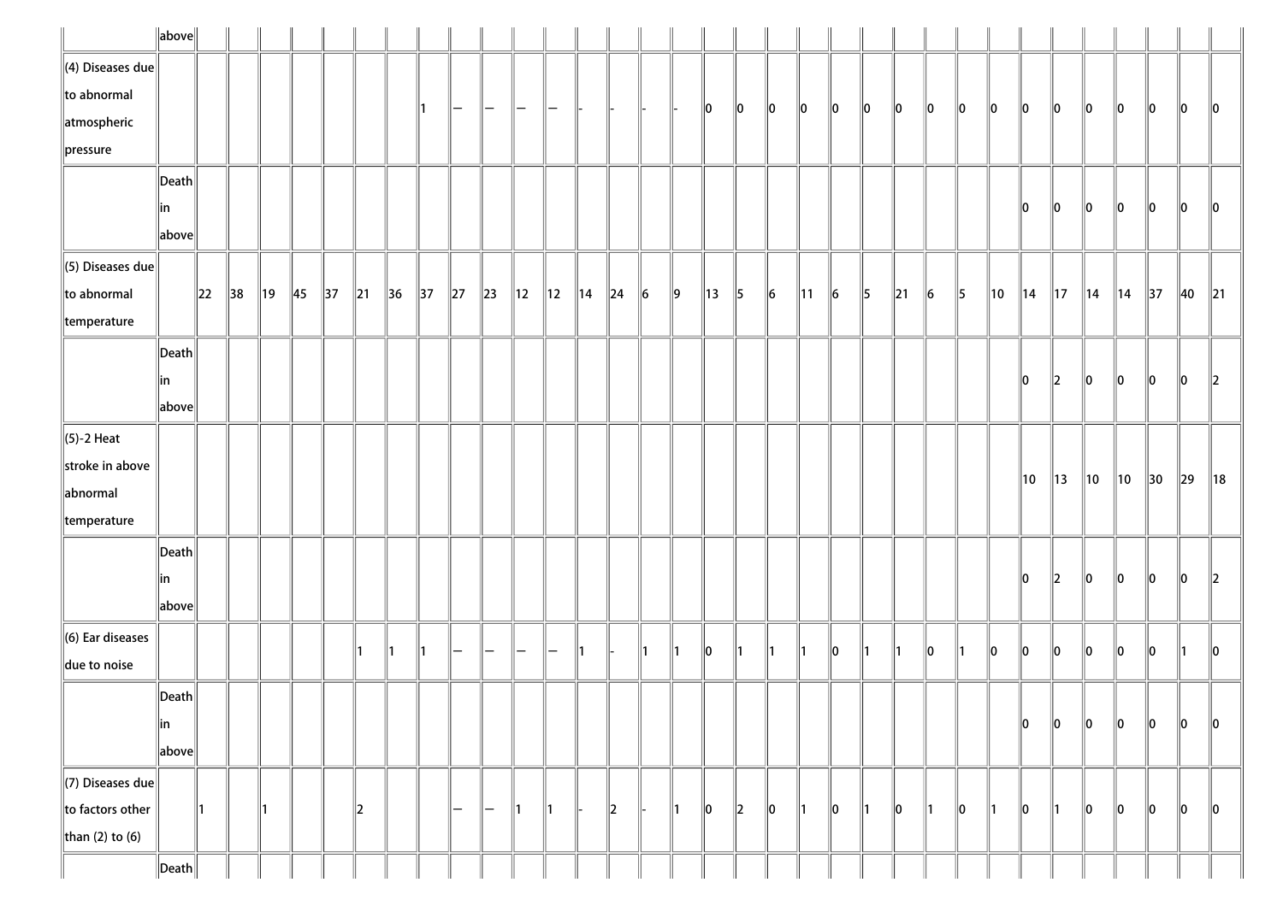|                              | $\ $ above $\ $       |          |                |                |                |                |                |                |                |          |                   |                |                |                |          |               |               |                |               |                 |                |                 |               |          |           |               |     |                |                |                |                |                |                |                |
|------------------------------|-----------------------|----------|----------------|----------------|----------------|----------------|----------------|----------------|----------------|----------|-------------------|----------------|----------------|----------------|----------|---------------|---------------|----------------|---------------|-----------------|----------------|-----------------|---------------|----------|-----------|---------------|-----|----------------|----------------|----------------|----------------|----------------|----------------|----------------|
| $\ $ (4) Diseases due        |                       |          |                |                |                |                |                |                |                |          |                   |                |                |                |          |               |               |                |               |                 |                |                 |               |          |           |               |     |                |                |                |                |                |                |                |
| $\ $ to abnormal             |                       |          |                |                |                |                |                |                |                | —        | —                 |                |                |                |          |               |               | $\parallel$ 0  | 10            | $\ 0\ $         | 10             | 10              | 10            | 10       | 10        | 10            | 10  | 10             | 10             | 10             | 10             | 10             | 10             | $\ 0\ $        |
| atmospheric                  |                       |          |                |                |                |                |                |                |                |          |                   |                |                |                |          |               |               |                |               |                 |                |                 |               |          |           |               |     |                |                |                |                |                |                |                |
| $\ $ pressure                |                       |          |                |                |                |                |                |                |                |          |                   |                |                |                |          |               |               |                |               |                 |                |                 |               |          |           |               |     |                |                |                |                |                |                |                |
|                              | $\vert$ Death $\vert$ |          |                |                |                |                |                |                |                |          |                   |                |                |                |          |               |               |                |               |                 |                |                 |               |          |           |               |     |                |                |                |                |                |                |                |
|                              | in                    |          |                |                |                |                |                |                |                |          |                   |                |                |                |          |               |               |                |               |                 |                |                 |               |          |           |               |     | 10             | 10             | 10             | 10             | 10             | 10             | 10             |
|                              | above                 |          |                |                |                |                |                |                |                |          |                   |                |                |                |          |               |               |                |               |                 |                |                 |               |          |           |               |     |                |                |                |                |                |                |                |
| $\ $ (5) Diseases due        |                       |          |                |                |                |                |                |                |                |          |                   |                |                |                |          |               |               |                |               |                 |                |                 |               |          |           |               |     |                |                |                |                |                |                |                |
| $\ $ to abnormal             |                       | $\ 22\ $ | $\parallel$ 38 | $\parallel$ 19 | $\parallel$ 45 | $\parallel$ 37 | $\parallel$ 21 | $\parallel$ 36 | $\parallel$ 37 | $\ 27\ $ | $\ 23\ $          | $\parallel$ 12 | $\parallel$ 12 | $\parallel$ 14 | $\ 24\ $ | $\ 6\ $       | $\ 9\ $       | $\parallel$ 13 | $\parallel$ 5 | $\vert 6 \vert$ | $\parallel$ 11 | $\vert 6 \vert$ | $\parallel$ 5 | $\ 21\ $ | $\vert$ 6 | $\parallel$ 5 | 10  | $\parallel$ 14 | $\parallel$ 17 | $\parallel$ 14 | $\parallel$ 14 | $\parallel$ 37 | $\parallel$ 40 | $\parallel$ 21 |
| $\parallel$ temperature      |                       |          |                |                |                |                |                |                |                |          |                   |                |                |                |          |               |               |                |               |                 |                |                 |               |          |           |               |     |                |                |                |                |                |                |                |
|                              | $\vert$ Death $\vert$ |          |                |                |                |                |                |                |                |          |                   |                |                |                |          |               |               |                |               |                 |                |                 |               |          |           |               |     |                |                |                |                |                |                |                |
|                              | in                    |          |                |                |                |                |                |                |                |          |                   |                |                |                |          |               |               |                |               |                 |                |                 |               |          |           |               |     | 10             | $\mathbb{Z}$   | 10             | 10             | 10             | 10             | $\parallel$ 2  |
|                              | above                 |          |                |                |                |                |                |                |                |          |                   |                |                |                |          |               |               |                |               |                 |                |                 |               |          |           |               |     |                |                |                |                |                |                |                |
| $\ $ (5)-2 Heat              |                       |          |                |                |                |                |                |                |                |          |                   |                |                |                |          |               |               |                |               |                 |                |                 |               |          |           |               |     |                |                |                |                |                |                |                |
| stroke in above              |                       |          |                |                |                |                |                |                |                |          |                   |                |                |                |          |               |               |                |               |                 |                |                 |               |          |           |               |     | 10             | $\parallel$ 13 | $\parallel$ 10 | ∥10            | 30             | $\parallel$ 29 | ∥18            |
| abnormal                     |                       |          |                |                |                |                |                |                |                |          |                   |                |                |                |          |               |               |                |               |                 |                |                 |               |          |           |               |     |                |                |                |                |                |                |                |
| $\parallel$ temperature      |                       |          |                |                |                |                |                |                |                |          |                   |                |                |                |          |               |               |                |               |                 |                |                 |               |          |           |               |     |                |                |                |                |                |                |                |
|                              | $\vert$ Death $\vert$ |          |                |                |                |                |                |                |                |          |                   |                |                |                |          |               |               |                |               |                 |                |                 |               |          |           |               |     |                |                |                |                |                |                |                |
|                              | in                    |          |                |                |                |                |                |                |                |          |                   |                |                |                |          |               |               |                |               |                 |                |                 |               |          |           |               |     | 10             | $\parallel$ 2  | $\ 0\ $        | 10             | 10             | 10             | $\ 2\ $        |
|                              | above                 |          |                |                |                |                |                |                |                |          |                   |                |                |                |          |               |               |                |               |                 |                |                 |               |          |           |               |     |                |                |                |                |                |                |                |
| $\parallel$ (6) Ear diseases |                       |          |                |                |                |                |                |                |                | -        |                   | —              |                |                |          |               | $\parallel$ 1 |                | 11            | 11              | ∥1             |                 | 11            | ∥1       | llo       |               | llo | llo            | ∥o             | 10             |                |                | 11.            |                |
| due to noise                 |                       |          |                |                |                |                |                |                |                |          | -                 |                | —              | 11.            |          | $\parallel$ 1 |               | 10             |               |                 |                | 10              |               |          |           |               |     |                |                |                | 10             | 10             |                | $\ 0\ $        |
|                              | $\ $ Death $\ $       |          |                |                |                |                |                |                |                |          |                   |                |                |                |          |               |               |                |               |                 |                |                 |               |          |           |               |     |                |                |                |                |                |                |                |
|                              | ∥in                   |          |                |                |                |                |                |                |                |          |                   |                |                |                |          |               |               |                |               |                 |                |                 |               |          |           |               |     | 10             | ∥o             | $\ 0\ $        | 10             | 10             | 10             | 10             |
|                              | above                 |          |                |                |                |                |                |                |                |          |                   |                |                |                |          |               |               |                |               |                 |                |                 |               |          |           |               |     |                |                |                |                |                |                |                |
| $\Vert$ (7) Diseases due     |                       |          |                |                |                |                |                |                |                |          |                   |                |                |                |          |               |               |                |               |                 |                |                 |               |          |           |               |     |                |                |                |                |                |                |                |
| $\ $ to factors other        |                       | ∥1       |                | ∥1             |                |                | $\parallel$ 2  |                |                | -        | $\qquad \qquad -$ | ∥1             | 11             |                | $\ 2\ $  | ⊪             | $\parallel$ 1 | 10             | $\parallel$ 2 | 10              | 1              | 10              | ∥1            | 10       | ∥1        | 10            | ∥1  | $\ 0\ $        | 11             | 10             | 10             | 10             | 10             | 10             |
| than (2) to (6)              |                       |          |                |                |                |                |                |                |                |          |                   |                |                |                |          |               |               |                |               |                 |                |                 |               |          |           |               |     |                |                |                |                |                |                |                |
|                              | $\ $ Death $\ $       |          |                |                |                |                |                |                |                |          |                   |                |                |                |          |               |               |                |               |                 |                |                 |               |          |           |               |     |                |                |                |                |                |                |                |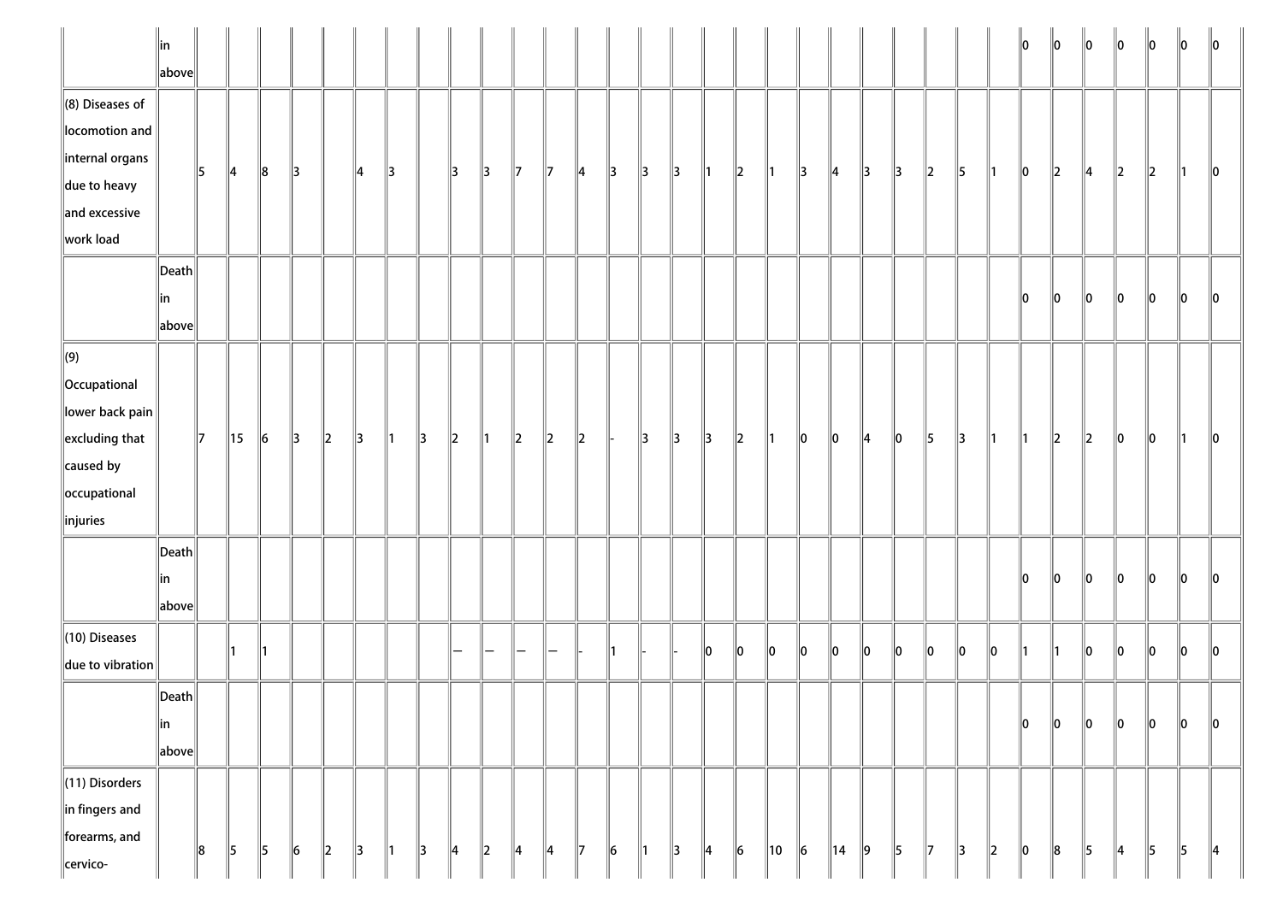|                                                                                                                                     | $\parallel$ in<br>$\ $ above $\ $               |              |                |           |               |         |               |               |               |               |               |               |               |               |              |               |               |               |           |                |           |                |    |    |               |    |               | 10 | 10           | $\ 0\ $       | 10 | 10 | 10        | $\parallel$ 0 |
|-------------------------------------------------------------------------------------------------------------------------------------|-------------------------------------------------|--------------|----------------|-----------|---------------|---------|---------------|---------------|---------------|---------------|---------------|---------------|---------------|---------------|--------------|---------------|---------------|---------------|-----------|----------------|-----------|----------------|----|----|---------------|----|---------------|----|--------------|---------------|----|----|-----------|---------------|
| $\ $ (8) Diseases of<br>locomotion and<br>$\parallel$ internal organs<br>$\parallel$ due to heavy<br>$\ $ and excessive             |                                                 | 5            | $\parallel$ 4  | $\ 8$     | $\parallel$ 3 |         | 14            | 13            |               | 13            | $\parallel$ 3 | $\parallel$ 7 | $\parallel$ 7 | 14            | 13           | $\parallel$ 3 | $\parallel$ 3 | $\parallel$ 1 | $\ 2\ $   | ∥1             | 3         | $\parallel$ 4  | 13 | 13 | 12            | 5  | ∥1            | 10 | $\ 2\ $      | $\parallel$ 4 | 2  | 2  | 11.       | $\ 0\ $       |
| work load                                                                                                                           |                                                 |              |                |           |               |         |               |               |               |               |               |               |               |               |              |               |               |               |           |                |           |                |    |    |               |    |               |    |              |               |    |    |           |               |
|                                                                                                                                     | $\vert$ Death $\vert$<br>∥in<br>$\ $ above $\ $ |              |                |           |               |         |               |               |               |               |               |               |               |               |              |               |               |               |           |                |           |                |    |    |               |    |               | 10 | 10           | 10            | 10 | 10 | 10        | 10            |
| $\Vert(9)\Vert$<br>Occupational<br>lower back pain<br>$\parallel$ excluding that<br>$\ $ caused by<br>occupational<br>$\ $ injuries |                                                 | $\mathbb{I}$ | $\parallel$ 15 | $\vert$ 6 | $\parallel$ 3 | $\ 2\ $ | $\parallel$ 3 | $\parallel$ 1 | $\parallel$ 3 | $\ 2\ $       | ∥1            | $\ 2\ $       | $\ 2\ $       | $\ 2\ $       |              | 3             | $\parallel$ 3 | $\parallel$ 3 | $\ 2\ $   | $\mathsf{I}$ 1 | 10        | $\ 0\ $        | 14 | 10 | 15            | 13 | ∥1            | ∥1 | $\mathbb{Z}$ | $\ 2\ $       | 10 | 10 | $\vert$ 1 | $\ 0\ $       |
|                                                                                                                                     | $\vert$ Death $\vert$<br>∥in<br>above           |              |                |           |               |         |               |               |               |               |               |               |               |               |              |               |               |               |           |                |           |                |    |    |               |    |               | 10 | 10           | 10            | 10 | 10 | 10        | 10            |
| $(10)$ Diseases<br>$\ $ due to vibration                                                                                            |                                                 |              |                |           |               |         |               |               |               |               |               |               |               |               | $\mathsf{I}$ |               |               | $\ 0\ $       | 10        | 10             | 10        | $\ 0\ $        | 10 | 10 | 10            | 10 | 10            |    |              | $\ 0\ $       | 10 | 10 | 10        | $\ 0\ $       |
|                                                                                                                                     | $\ $ Death $\ $<br>$\ $ in<br>above             |              |                |           |               |         |               |               |               |               |               |               |               |               |              |               |               |               |           |                |           |                |    |    |               |    |               | 10 | 10           | $\ 0\ $       | 0  | 10 | 10        | 10            |
| $\ $ (11) Disorders<br>$\ $ in fingers and<br>forearms, and<br>cervico-                                                             |                                                 | 8            | $\parallel$ 5  | $\vert$ 5 | $\ 6\ $       | $\ 2\ $ | $\parallel$ 3 | $\parallel$ 1 | $\parallel$ 3 | $\parallel$ 4 | $\ 2\ $       | $\parallel$ 4 | $\parallel$ 4 | $\parallel$ 7 | $\ 6\ $      | $\parallel$ 1 | $\parallel$ 3 | $\parallel$ 4 | $\vert$ 6 | 10             | $\vert$ 6 | $\parallel$ 14 | 9  | 5  | $\parallel$ 7 | 3  | $\parallel$ 2 | 0  | $\ 8$        | $\parallel$ 5 | 4  | 5  | 5         | $\parallel$ 4 |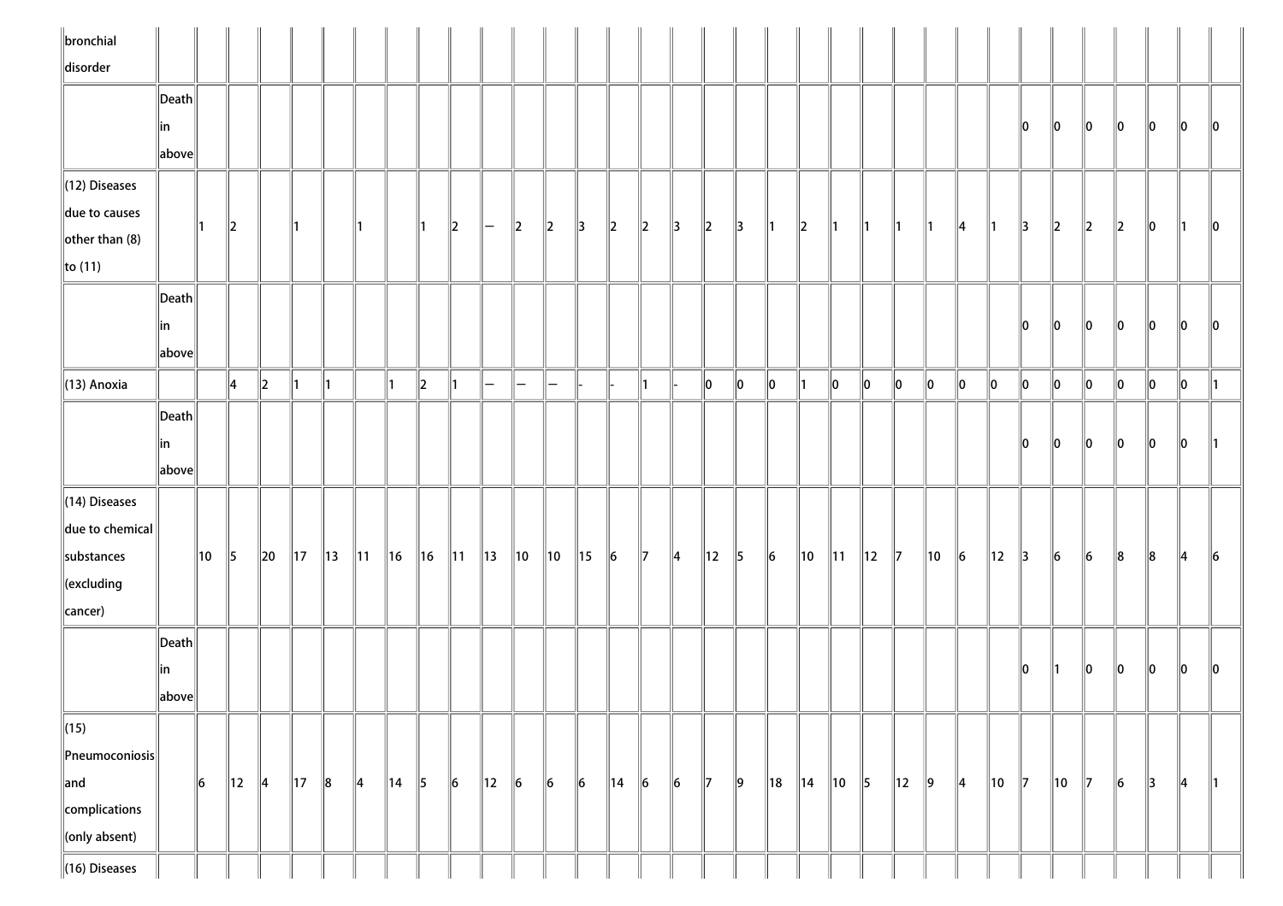| $\ $ bronchial                      |                                      |    |                |               |                |                |                |                |               |                |                |                    |                    |                |                |               |               |                          |               |           |                |                |                |                |                |               |                |               |                |               |                          |               |               |               |
|-------------------------------------|--------------------------------------|----|----------------|---------------|----------------|----------------|----------------|----------------|---------------|----------------|----------------|--------------------|--------------------|----------------|----------------|---------------|---------------|--------------------------|---------------|-----------|----------------|----------------|----------------|----------------|----------------|---------------|----------------|---------------|----------------|---------------|--------------------------|---------------|---------------|---------------|
| disorder                            |                                      |    |                |               |                |                |                |                |               |                |                |                    |                    |                |                |               |               |                          |               |           |                |                |                |                |                |               |                |               |                |               |                          |               |               |               |
|                                     | $\vert$ Death $\vert$                |    |                |               |                |                |                |                |               |                |                |                    |                    |                |                |               |               |                          |               |           |                |                |                |                |                |               |                |               |                |               |                          |               |               |               |
|                                     | in                                   |    |                |               |                |                |                |                |               |                |                |                    |                    |                |                |               |               |                          |               |           |                |                |                |                |                |               |                | 10            | $\parallel$ 0  | $\parallel$ 0 | $\parallel 0$            | $\ 0\ $       | 10            | $\ 0\ $       |
|                                     | above                                |    |                |               |                |                |                |                |               |                |                |                    |                    |                |                |               |               |                          |               |           |                |                |                |                |                |               |                |               |                |               |                          |               |               |               |
| $\parallel$ (12) Diseases           |                                      |    |                |               |                |                |                |                |               |                |                |                    |                    |                |                |               |               |                          |               |           |                |                |                |                |                |               |                |               |                |               |                          |               |               |               |
| due to causes                       |                                      | ∥1 | $\ 2\ $        |               |                |                |                |                |               | $\ 2\ $        | I—             | 2                  | $\ 2\ $            | $\parallel$ 3  | $\ 2\ $        | $\ 2\ $       | $\parallel$ 3 | $\parallel$ <sub>2</sub> | $\parallel$ 3 | 11        | $\parallel$ 2  | 111            | 11             | 11             | $\mathsf{I}$   | $\parallel$ 4 | $\parallel$ 1  | $\parallel$ 3 | $\ 2\ $        | $\ 2\ $       | $\parallel$ <sub>2</sub> | $\ 0\ $       | $\parallel$ 1 | $\ 0\ $       |
| $\left\Vert$ other than (8)         |                                      |    |                |               |                |                |                |                |               |                |                |                    |                    |                |                |               |               |                          |               |           |                |                |                |                |                |               |                |               |                |               |                          |               |               |               |
| $\ $ to (11)                        |                                      |    |                |               |                |                |                |                |               |                |                |                    |                    |                |                |               |               |                          |               |           |                |                |                |                |                |               |                |               |                |               |                          |               |               |               |
|                                     | $\ $ Death $\ $                      |    |                |               |                |                |                |                |               |                |                |                    |                    |                |                |               |               |                          |               |           |                |                |                |                |                |               |                |               |                |               |                          |               |               |               |
|                                     | in                                   |    |                |               |                |                |                |                |               |                |                |                    |                    |                |                |               |               |                          |               |           |                |                |                |                |                |               |                | 10            | $\parallel$ 0  | $\parallel$ 0 | $\parallel$ 0            | $\ 0\ $       | 10            | $\ 0\ $       |
|                                     | $\left\Vert \text{above}\right\Vert$ |    |                |               |                |                |                |                |               |                |                |                    |                    |                |                |               |               |                          |               |           |                |                |                |                |                |               |                |               |                |               |                          |               |               |               |
| $\parallel$ (13) Anoxia             |                                      |    | ∥4             | $\parallel$ 2 | ∥1             | ∥1             |                | 11             | $\ 2\ $       | 11             | $-$            | $\left  - \right $ | $\left  - \right $ |                |                | ∥1            |               | $\parallel$ 0            | $\ 0\ $       | $\ 0\ $   |                | $\ 0\ $        | $\ 0\ $        | $\ 0\ $        | $\ 0\ $        | $\ 0\ $       | $\ 0\ $        | $\ 0\ $       | $\ 0\ $        | $\ 0\ $       | $\ 0\ $                  | $\ 0\ $       | $\ 0\ $       | $\parallel$ 1 |
|                                     | Death                                |    |                |               |                |                |                |                |               |                |                |                    |                    |                |                |               |               |                          |               |           |                |                |                |                |                |               |                |               |                |               |                          |               |               |               |
|                                     | ∥in                                  |    |                |               |                |                |                |                |               |                |                |                    |                    |                |                |               |               |                          |               |           |                |                |                |                |                |               |                | 10            | 10             | $\mathbf{0}$  | $\ 0\ $                  | $\ 0\ $       | 10            | $\parallel$ 1 |
|                                     | $\ $ above $\ $                      |    |                |               |                |                |                |                |               |                |                |                    |                    |                |                |               |               |                          |               |           |                |                |                |                |                |               |                |               |                |               |                          |               |               |               |
| $\ $ (14) Diseases                  |                                      |    |                |               |                |                |                |                |               |                |                |                    |                    |                |                |               |               |                          |               |           |                |                |                |                |                |               |                |               |                |               |                          |               |               |               |
| $\ $ due to chemical                |                                      |    |                |               |                |                |                |                |               |                |                |                    |                    |                |                |               |               |                          |               |           |                |                |                |                |                |               |                |               |                |               |                          |               |               |               |
| substances                          |                                      | 10 | 5              | $\ 20\ $      | $\parallel$ 17 | $\parallel$ 13 | $\parallel$ 11 | $\parallel$ 16 | $\ $ 16       | $\parallel$ 11 | $\parallel$ 13 | $\parallel$ 10     | $\parallel$ 10     | $\parallel$ 15 | $\vert$ 6      | $\parallel$ 7 | $\parallel$ 4 | $\parallel$ 12           | $\parallel$ 5 | $\vert$ 6 | $\parallel$ 10 | $\parallel$ 11 | $\parallel$ 12 | $\mathbb{Z}$   | $\parallel$ 10 | $\vert$ 6     | $\parallel$ 12 | $\parallel$ 3 | $\ 6$          | $\ 6\ $       | $\ 8$                    | $\ 8$         | $\parallel$ 4 | $\ 6$         |
| $\ $ (excluding                     |                                      |    |                |               |                |                |                |                |               |                |                |                    |                    |                |                |               |               |                          |               |           |                |                |                |                |                |               |                |               |                |               |                          |               |               |               |
| cancer)                             |                                      |    |                |               |                |                |                |                |               |                |                |                    |                    |                |                |               |               |                          |               |           |                |                |                |                |                |               |                |               |                |               |                          |               |               |               |
|                                     | $\vert$ Death $\vert$                |    |                |               |                |                |                |                |               |                |                |                    |                    |                |                |               |               |                          |               |           |                |                |                |                |                |               |                |               |                |               |                          |               |               |               |
|                                     | in                                   |    |                |               |                |                |                |                |               |                |                |                    |                    |                |                |               |               |                          |               |           |                |                |                |                |                |               |                | 10            | $\parallel$ 1  | $\parallel$ 0 | $\parallel$ 0            | $\ 0\ $       | 10            | $\ 0\ $       |
|                                     | $\ $ above $\ $                      |    |                |               |                |                |                |                |               |                |                |                    |                    |                |                |               |               |                          |               |           |                |                |                |                |                |               |                |               |                |               |                          |               |               |               |
| $\ $ (15)                           |                                      |    |                |               |                |                |                |                |               |                |                |                    |                    |                |                |               |               |                          |               |           |                |                |                |                |                |               |                |               |                |               |                          |               |               |               |
| $\left\ $ Pneumoconiosis $\right\ $ |                                      |    |                |               |                |                |                |                |               |                |                |                    |                    |                |                |               |               |                          |               |           |                |                |                |                |                |               |                |               |                |               |                          |               |               |               |
| $\ $ and                            |                                      | 6  | $\parallel$ 12 | $\parallel$ 4 | $\parallel$ 17 | $\ 8$          | $\parallel$ 4  | $\parallel$ 14 | $\parallel$ 5 | $\ 6\ $        | $\parallel$ 12 | $\vert$ 6          | $\ 6\ $            | $\vert$ 6      | $\parallel$ 14 | $\vert$ 6     | $\vert$ 6     | $\parallel$ 7            | $\ 9\ $       | ∥18       | ∥14            | $\parallel$ 10 | $\vert$ 5      | $\parallel$ 12 | $\vert$ 9      | $\parallel$ 4 | $\parallel$ 10 | $\parallel$ 7 | $\parallel$ 10 | $\parallel$ 7 | $\ 6$                    | $\parallel$ 3 | $\parallel$ 4 | $\parallel$ 1 |
| complications                       |                                      |    |                |               |                |                |                |                |               |                |                |                    |                    |                |                |               |               |                          |               |           |                |                |                |                |                |               |                |               |                |               |                          |               |               |               |
| $\ $ (only absent)                  |                                      |    |                |               |                |                |                |                |               |                |                |                    |                    |                |                |               |               |                          |               |           |                |                |                |                |                |               |                |               |                |               |                          |               |               |               |
| $\ $ (16) Diseases                  |                                      |    |                |               |                |                |                |                |               |                |                |                    |                    |                |                |               |               |                          |               |           |                |                |                |                |                |               |                |               |                |               |                          |               |               |               |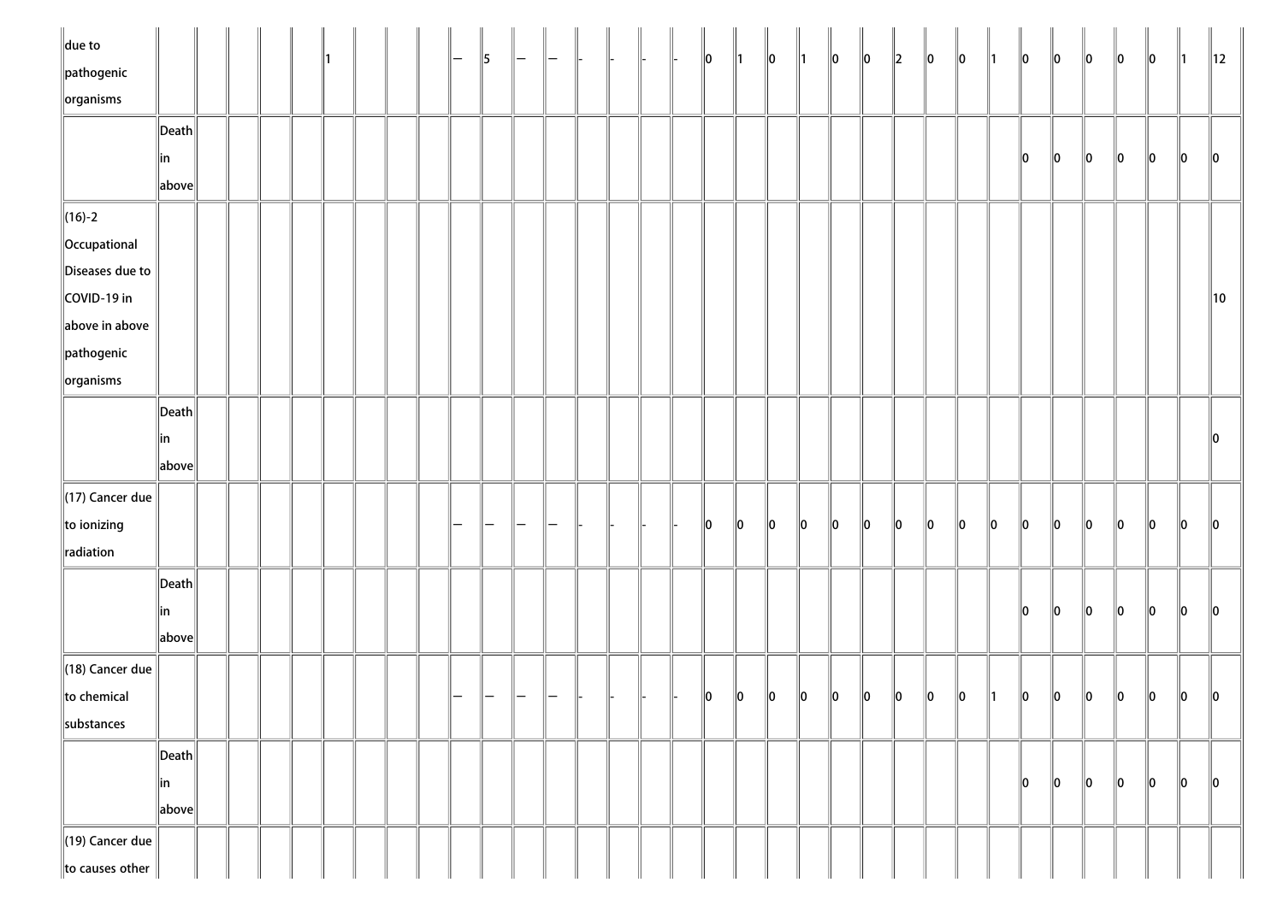| $\ $ due to<br>$\parallel$ pathogenic |                                        |  |  |  |  | 5 |  |  |  | $\ 0\ $       | $\parallel$ 1 | $\ 0\ $     | $\parallel$ 1 | $\ 0\ $ | $\ 0\ $     | $\ 2\ $     | $\ 0\ $ | $\ 0\ $     | $\parallel$ 1 | $\ 0\ $ | $\ 0\ $ | $\ 0\ $ | $\ 0\ $ | $\ 0\ $ | $\parallel$ 1 | $\parallel$ 12 |
|---------------------------------------|----------------------------------------|--|--|--|--|---|--|--|--|---------------|---------------|-------------|---------------|---------|-------------|-------------|---------|-------------|---------------|---------|---------|---------|---------|---------|---------------|----------------|
| $\sqrt{\frac{1}{10}}$ organisms       |                                        |  |  |  |  |   |  |  |  |               |               |             |               |         |             |             |         |             |               |         |         |         |         |         |               |                |
|                                       | $\left\Vert \mathsf{Death}\right\Vert$ |  |  |  |  |   |  |  |  |               |               |             |               |         |             |             |         |             |               |         |         |         |         |         |               |                |
|                                       | ∥in                                    |  |  |  |  |   |  |  |  |               |               |             |               |         |             |             |         |             |               | 10      | $\ 0\ $ | $\ 0\ $ | $\ 0\ $ | $\ 0\ $ | $\ 0\ $       | $\ 0\ $        |
|                                       | $\ $ above $\ $                        |  |  |  |  |   |  |  |  |               |               |             |               |         |             |             |         |             |               |         |         |         |         |         |               |                |
| $\ $ (16)-2                           |                                        |  |  |  |  |   |  |  |  |               |               |             |               |         |             |             |         |             |               |         |         |         |         |         |               |                |
| Occupational                          |                                        |  |  |  |  |   |  |  |  |               |               |             |               |         |             |             |         |             |               |         |         |         |         |         |               |                |
| Diseases due to                       |                                        |  |  |  |  |   |  |  |  |               |               |             |               |         |             |             |         |             |               |         |         |         |         |         |               |                |
| COVID-19 in                           |                                        |  |  |  |  |   |  |  |  |               |               |             |               |         |             |             |         |             |               |         |         |         |         |         |               | $\parallel$ 10 |
| above in above                        |                                        |  |  |  |  |   |  |  |  |               |               |             |               |         |             |             |         |             |               |         |         |         |         |         |               |                |
| $\parallel$ pathogenic                |                                        |  |  |  |  |   |  |  |  |               |               |             |               |         |             |             |         |             |               |         |         |         |         |         |               |                |
| $\ $ organisms                        |                                        |  |  |  |  |   |  |  |  |               |               |             |               |         |             |             |         |             |               |         |         |         |         |         |               |                |
|                                       | $\ $ Death $\ $                        |  |  |  |  |   |  |  |  |               |               |             |               |         |             |             |         |             |               |         |         |         |         |         |               |                |
|                                       | in                                     |  |  |  |  |   |  |  |  |               |               |             |               |         |             |             |         |             |               |         |         |         |         |         |               | $\ 0\ $        |
|                                       | $\ $ above $\ $                        |  |  |  |  |   |  |  |  |               |               |             |               |         |             |             |         |             |               |         |         |         |         |         |               |                |
| $\parallel$ (17) Cancer due           |                                        |  |  |  |  |   |  |  |  |               |               |             |               |         |             |             |         |             |               |         |         |         |         |         |               |                |
| to ionizing                           |                                        |  |  |  |  |   |  |  |  | $\parallel$ 0 | 10            | 10          | $ 0\rangle$   | $\ 0\ $ | $ 0\rangle$ | $ 0\rangle$ | $\ 0\ $ | $\ 0\ $     | $\ 0\ $       | $\ 0\ $ | $\ 0\ $ | $\ 0\ $ | $\ 0\ $ | $\ 0\ $ | $\ 0\ $       | $\ 0\ $        |
| radiation                             |                                        |  |  |  |  |   |  |  |  |               |               |             |               |         |             |             |         |             |               |         |         |         |         |         |               |                |
|                                       | $\left\Vert \mathsf{Death}\right\Vert$ |  |  |  |  |   |  |  |  |               |               |             |               |         |             |             |         |             |               |         |         |         |         |         |               |                |
|                                       | ∥in                                    |  |  |  |  |   |  |  |  |               |               |             |               |         |             |             |         |             |               | $\ 0\ $ | $\ 0\ $ | $\ 0\ $ | $\ 0\ $ | $\ 0\ $ | $\ 0\ $       | $\ 0\ $        |
|                                       | $\ $ above $\ $                        |  |  |  |  |   |  |  |  |               |               |             |               |         |             |             |         |             |               |         |         |         |         |         |               |                |
| $\parallel$ (18) Cancer due           |                                        |  |  |  |  |   |  |  |  |               |               |             |               |         |             |             |         |             |               |         |         |         |         |         |               |                |
| to chemical                           |                                        |  |  |  |  |   |  |  |  | 10            | $\ 0\ $       | $\parallel$ | $\ 0\ $       | $\ 0\ $ | $\ 0\ $     | $\ 0\ $     | $\ 0\ $ | $ 0\rangle$ | $\parallel$ 1 | 10      | $\ 0\ $ | $\ 0\ $ | $\ 0\ $ | $\ 0\ $ | $\ 0\ $       | $\parallel$ 0  |
| substances                            |                                        |  |  |  |  |   |  |  |  |               |               |             |               |         |             |             |         |             |               |         |         |         |         |         |               |                |
|                                       | $\left\Vert \mathsf{Death}\right\Vert$ |  |  |  |  |   |  |  |  |               |               |             |               |         |             |             |         |             |               |         |         |         |         |         |               |                |
|                                       | ∥in                                    |  |  |  |  |   |  |  |  |               |               |             |               |         |             |             |         |             |               | 10      | 10      | 10      | $\ 0\ $ | $\ 0\ $ | $\ 0\ $       | $\ 0\ $        |
|                                       | $\ $ above $\ $                        |  |  |  |  |   |  |  |  |               |               |             |               |         |             |             |         |             |               |         |         |         |         |         |               |                |
| $\parallel$ (19) Cancer due           |                                        |  |  |  |  |   |  |  |  |               |               |             |               |         |             |             |         |             |               |         |         |         |         |         |               |                |
| to causes other                       |                                        |  |  |  |  |   |  |  |  |               |               |             |               |         |             |             |         |             |               |         |         |         |         |         |               |                |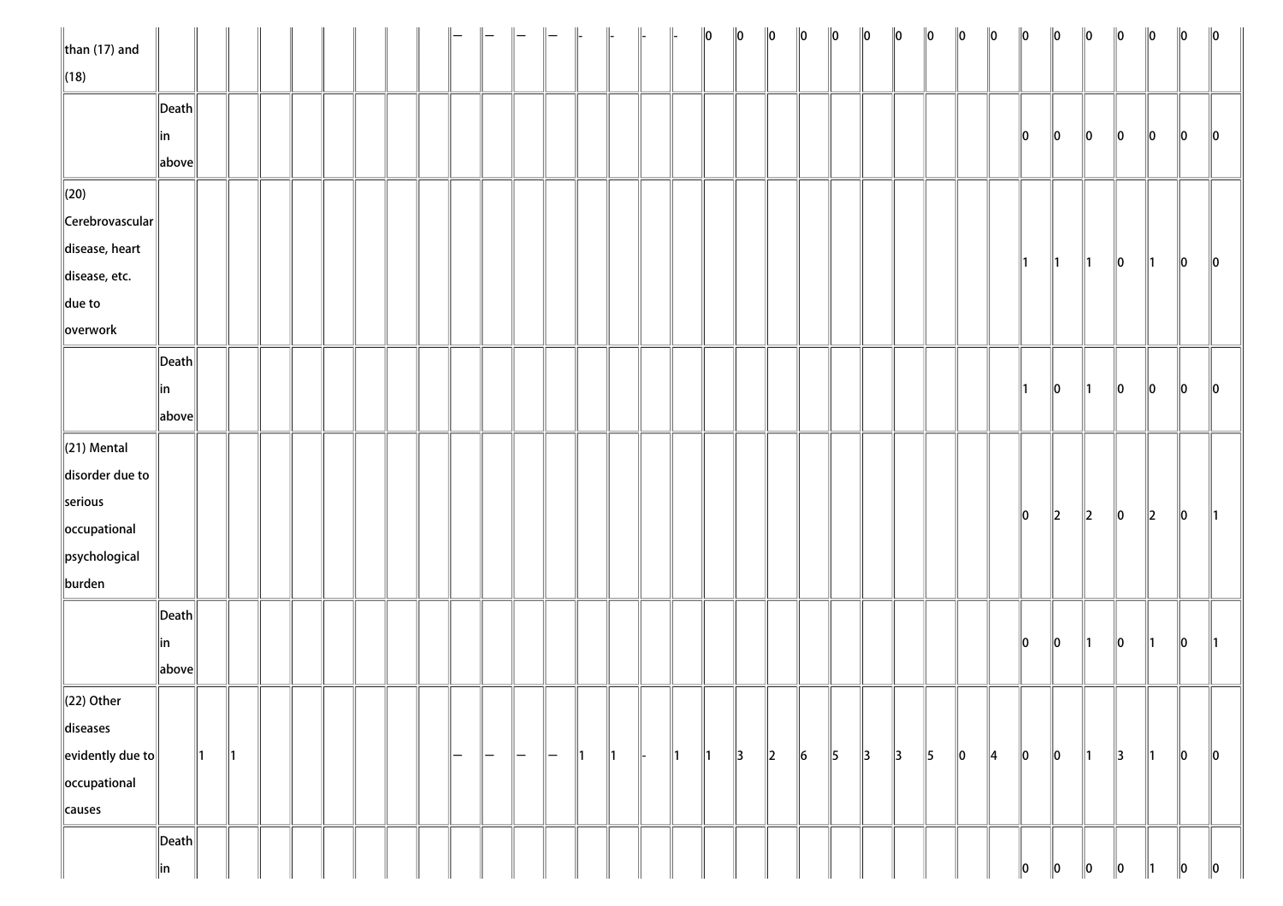| $\ $ than (17) and         |                       |               |    |  |  |  |     |               |     |                   | $\parallel$ | $\parallel$   |               | $\ 0\ $       | $\ 0\ $       | $\ 0\ $ | $\ 0\ $   | $\ 0\ $   | $\ 0\ $       | $\ 0\ $       | $\ 0\ $       | $\ 0\ $     | $\ 0\ $       | $\ 0\ $       | $\ 0\ $       | $\ 0\ $       | $\ 0\ $       | $\ 0\ $       | $\ 0\ $     | $\ 0\ $       |
|----------------------------|-----------------------|---------------|----|--|--|--|-----|---------------|-----|-------------------|-------------|---------------|---------------|---------------|---------------|---------|-----------|-----------|---------------|---------------|---------------|-------------|---------------|---------------|---------------|---------------|---------------|---------------|-------------|---------------|
| $\ $ (18)                  |                       |               |    |  |  |  |     |               |     |                   |             |               |               |               |               |         |           |           |               |               |               |             |               |               |               |               |               |               |             |               |
|                            | $\ $ Death $\ $       |               |    |  |  |  |     |               |     |                   |             |               |               |               |               |         |           |           |               |               |               |             |               |               |               |               |               |               |             |               |
|                            | ∥in                   |               |    |  |  |  |     |               |     |                   |             |               |               |               |               |         |           |           |               |               |               |             |               | 10            | $\ 0\ $       | $\ 0\ $       | 10            | 10            | 10          | $\parallel$ 0 |
|                            | above                 |               |    |  |  |  |     |               |     |                   |             |               |               |               |               |         |           |           |               |               |               |             |               |               |               |               |               |               |             |               |
| $\ $ (20)                  |                       |               |    |  |  |  |     |               |     |                   |             |               |               |               |               |         |           |           |               |               |               |             |               |               |               |               |               |               |             |               |
| $\ $ Cerebrovascular $\ $  |                       |               |    |  |  |  |     |               |     |                   |             |               |               |               |               |         |           |           |               |               |               |             |               |               |               |               |               |               |             |               |
| disease, heart             |                       |               |    |  |  |  |     |               |     |                   |             |               |               |               |               |         |           |           |               |               |               |             |               |               |               |               |               |               |             |               |
| disease, etc.              |                       |               |    |  |  |  |     |               |     |                   |             |               |               |               |               |         |           |           |               |               |               |             |               | $\parallel$ 1 | $\parallel$ 1 | $\parallel$ 1 | $\ 0\ $       | $\parallel$ 1 | $ 0\rangle$ | $\ 0\ $       |
| $\ $ due to                |                       |               |    |  |  |  |     |               |     |                   |             |               |               |               |               |         |           |           |               |               |               |             |               |               |               |               |               |               |             |               |
| overwork                   |                       |               |    |  |  |  |     |               |     |                   |             |               |               |               |               |         |           |           |               |               |               |             |               |               |               |               |               |               |             |               |
|                            | $\vert$ Death $\vert$ |               |    |  |  |  |     |               |     |                   |             |               |               |               |               |         |           |           |               |               |               |             |               |               |               |               |               |               |             |               |
|                            | in                    |               |    |  |  |  |     |               |     |                   |             |               |               |               |               |         |           |           |               |               |               |             |               | $\parallel$ 1 | $\ 0\ $       | $\parallel$ 1 | 10            | $ 0\rangle$   | 10          | $\parallel$ 0 |
|                            | above                 |               |    |  |  |  |     |               |     |                   |             |               |               |               |               |         |           |           |               |               |               |             |               |               |               |               |               |               |             |               |
| $\ $ (21) Mental           |                       |               |    |  |  |  |     |               |     |                   |             |               |               |               |               |         |           |           |               |               |               |             |               |               |               |               |               |               |             |               |
| disorder due to            |                       |               |    |  |  |  |     |               |     |                   |             |               |               |               |               |         |           |           |               |               |               |             |               |               |               |               |               |               |             |               |
| serious                    |                       |               |    |  |  |  |     |               |     |                   |             |               |               |               |               |         |           |           |               |               |               |             |               |               |               |               |               |               |             |               |
| occupational               |                       |               |    |  |  |  |     |               |     |                   |             |               |               |               |               |         |           |           |               |               |               |             |               | $ 0\rangle$   | $\ 2\ $       | $\ 2\ $       | $\ 0\ $       | $\ 2\ $       | $\ 0\ $     | 11            |
| psychological              |                       |               |    |  |  |  |     |               |     |                   |             |               |               |               |               |         |           |           |               |               |               |             |               |               |               |               |               |               |             |               |
| burden                     |                       |               |    |  |  |  |     |               |     |                   |             |               |               |               |               |         |           |           |               |               |               |             |               |               |               |               |               |               |             |               |
|                            | $\ $ Death $\ $       |               |    |  |  |  |     |               |     |                   |             |               |               |               |               |         |           |           |               |               |               |             |               |               |               |               |               |               |             |               |
|                            | ∥in                   |               |    |  |  |  |     |               |     |                   |             |               |               |               |               |         |           |           |               |               |               |             |               | $\parallel$ 0 | $\ 0\ $       | $\parallel$ 1 | $\ 0\ $       | $\parallel$ 1 | $ 0\rangle$ | $\parallel$ 1 |
|                            | above                 |               |    |  |  |  |     |               |     |                   |             |               |               |               |               |         |           |           |               |               |               |             |               |               |               |               |               |               |             |               |
| $\ $ (22) Other            |                       |               |    |  |  |  |     |               |     |                   |             |               |               |               |               |         |           |           |               |               |               |             |               |               |               |               |               |               |             |               |
| diseases                   |                       |               |    |  |  |  |     |               |     |                   |             |               |               |               |               |         |           |           |               |               |               |             |               |               |               |               |               |               |             |               |
| $\ $ evidently due to $\ $ |                       | $\parallel$ 1 | ∥1 |  |  |  | $-$ | $\overline{}$ | ı — | $\qquad \qquad -$ | ∥1          | $\parallel$ 1 | $\parallel$ 1 | $\parallel$ 1 | $\parallel$ 3 | $\ 2\ $ | $\vert$ 6 | $\vert$ 5 | $\parallel$ 3 | $\parallel$ 3 | $\parallel$ 5 | $ 0\rangle$ | $\parallel$ 4 | 0             | $\ 0\ $       | $\parallel$ 1 | $\parallel$ 3 | $\parallel$ 1 | $ 0\rangle$ | $\ 0\ $       |
| occupational               |                       |               |    |  |  |  |     |               |     |                   |             |               |               |               |               |         |           |           |               |               |               |             |               |               |               |               |               |               |             |               |
| causes                     |                       |               |    |  |  |  |     |               |     |                   |             |               |               |               |               |         |           |           |               |               |               |             |               |               |               |               |               |               |             |               |
|                            | $\vert$ Death $\vert$ |               |    |  |  |  |     |               |     |                   |             |               |               |               |               |         |           |           |               |               |               |             |               |               |               |               |               |               |             |               |
|                            | in                    |               |    |  |  |  |     |               |     |                   |             |               |               |               |               |         |           |           |               |               |               |             |               | 10            | 10            | 10            | 10            |               | 10          | $\ 0\ $       |